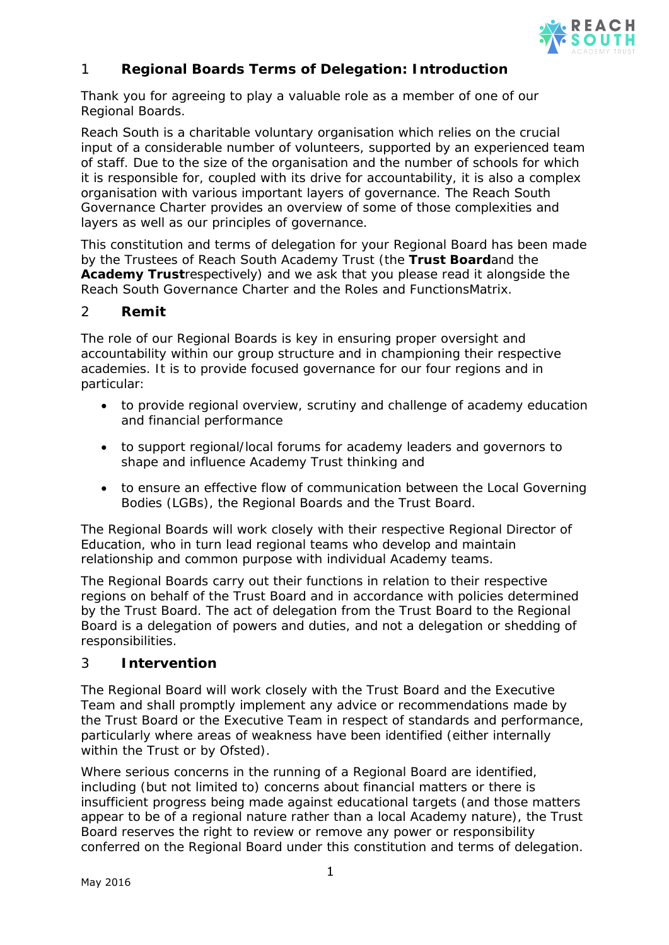

# 1 **Regional Boards Terms of Delegation: Introduction**

Thank you for agreeing to play a valuable role as a member of one of our Regional Boards.

Reach South is a charitable voluntary organisation which relies on the crucial input of a considerable number of volunteers, supported by an experienced team of staff. Due to the size of the organisation and the number of schools for which it is responsible for, coupled with its drive for accountability, it is also a complex organisation with various important layers of governance. The Reach South Governance Charter provides an overview of some of those complexities and layers as well as our principles of governance.

This constitution and terms of delegation for your Regional Board has been made by the Trustees of Reach South Academy Trust (the **Trust Board**and the **Academy Trust**respectively) and we ask that you please read it alongside the Reach South Governance Charter and the Roles and FunctionsMatrix.

## 2 **Remit**

The role of our Regional Boards is key in ensuring proper oversight and accountability within our group structure and in championing their respective academies. It is to provide focused governance for our four regions and in particular:

- to provide regional overview, scrutiny and challenge of academy education and financial performance
- to support regional/local forums for academy leaders and governors to shape and influence Academy Trust thinking and
- to ensure an effective flow of communication between the Local Governing Bodies (LGBs), the Regional Boards and the Trust Board.

The Regional Boards will work closely with their respective Regional Director of Education, who in turn lead regional teams who develop and maintain relationship and common purpose with individual Academy teams.

The Regional Boards carry out their functions in relation to their respective regions on behalf of the Trust Board and in accordance with policies determined by the Trust Board. The act of delegation from the Trust Board to the Regional Board is a delegation of powers and duties, and not a delegation or shedding of responsibilities.

#### 3 **Intervention**

The Regional Board will work closely with the Trust Board and the Executive Team and shall promptly implement any advice or recommendations made by the Trust Board or the Executive Team in respect of standards and performance, particularly where areas of weakness have been identified (either internally within the Trust or by Ofsted).

Where serious concerns in the running of a Regional Board are identified, including (but not limited to) concerns about financial matters or there is insufficient progress being made against educational targets (and those matters appear to be of a regional nature rather than a local Academy nature), the Trust Board reserves the right to review or remove any power or responsibility conferred on the Regional Board under this constitution and terms of delegation.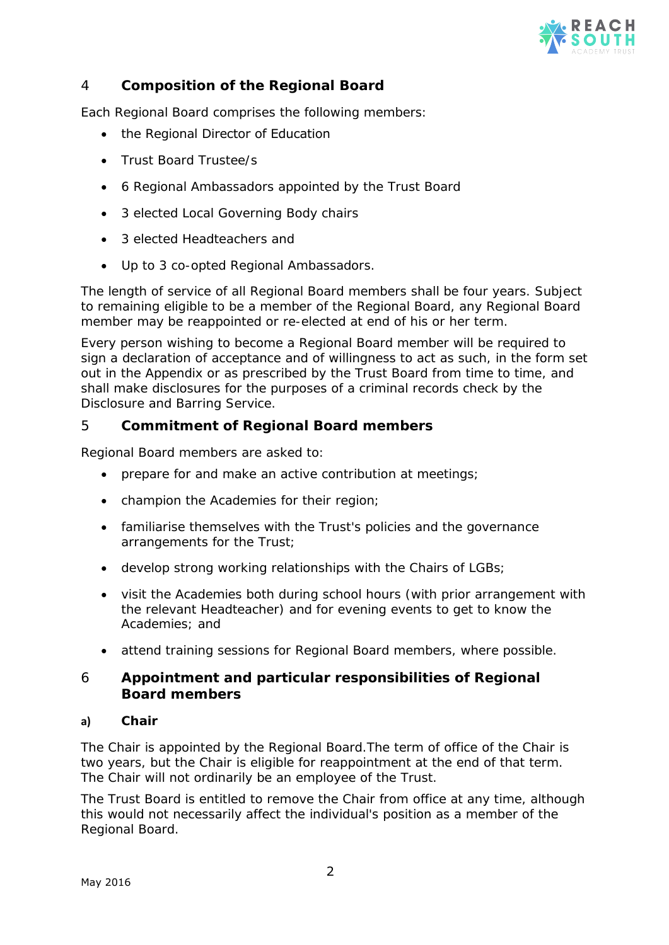

# 4 **Composition of the Regional Board**

Each Regional Board comprises the following members:

- the Regional Director of Education
- Trust Board Trustee/s
- 6 Regional Ambassadors appointed by the Trust Board
- 3 elected Local Governing Body chairs
- 3 elected Headteachers and
- Up to 3 co-opted Regional Ambassadors.

The length of service of all Regional Board members shall be four years. Subject to remaining eligible to be a member of the Regional Board, any Regional Board member may be reappointed or re-elected at end of his or her term.

Every person wishing to become a Regional Board member will be required to sign a declaration of acceptance and of willingness to act as such, in the form set out in the Appendix or as prescribed by the Trust Board from time to time, and shall make disclosures for the purposes of a criminal records check by the Disclosure and Barring Service.

## 5 **Commitment of Regional Board members**

Regional Board members are asked to:

- prepare for and make an active contribution at meetings;
- champion the Academies for their region;
- familiarise themselves with the Trust's policies and the governance arrangements for the Trust;
- develop strong working relationships with the Chairs of LGBs;
- visit the Academies both during school hours (with prior arrangement with the relevant Headteacher) and for evening events to get to know the Academies; and
- attend training sessions for Regional Board members, where possible.

## 6 **Appointment and particular responsibilities of Regional Board members**

#### **a) Chair**

The Chair is appointed by the Regional Board.The term of office of the Chair is two years, but the Chair is eligible for reappointment at the end of that term. The Chair will not ordinarily be an employee of the Trust.

The Trust Board is entitled to remove the Chair from office at any time, although this would not necessarily affect the individual's position as a member of the Regional Board.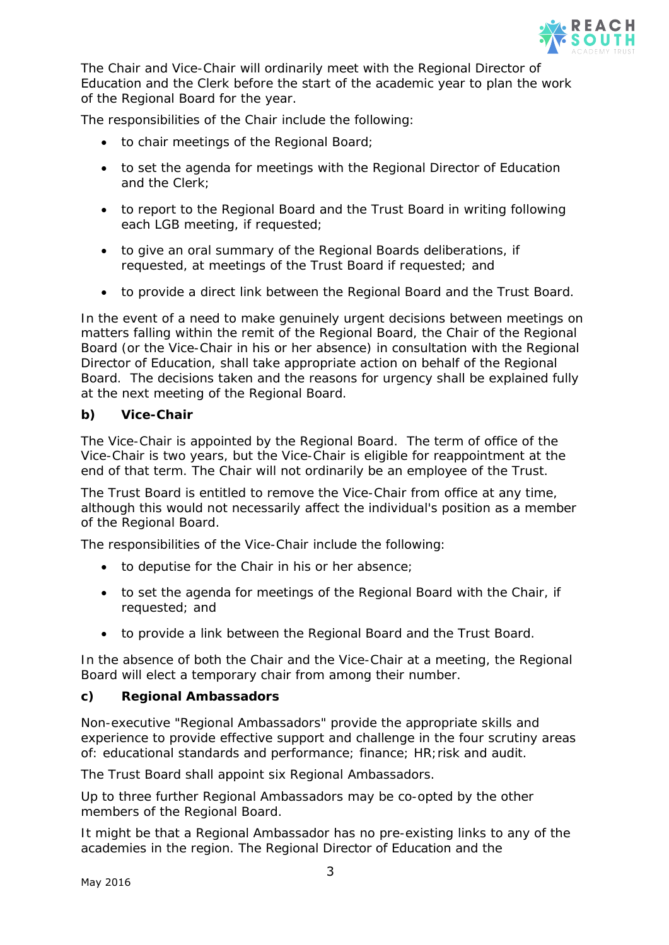

The Chair and Vice-Chair will ordinarily meet with the Regional Director of Education and the Clerk before the start of the academic year to plan the work of the Regional Board for the year.

The responsibilities of the Chair include the following:

- to chair meetings of the Regional Board;
- to set the agenda for meetings with the Regional Director of Education and the Clerk;
- to report to the Regional Board and the Trust Board in writing following each LGB meeting, if requested;
- to give an oral summary of the Regional Boards deliberations, if requested, at meetings of the Trust Board if requested; and
- to provide a direct link between the Regional Board and the Trust Board.

In the event of a need to make genuinely urgent decisions between meetings on matters falling within the remit of the Regional Board, the Chair of the Regional Board (or the Vice-Chair in his or her absence) in consultation with the Regional Director of Education, shall take appropriate action on behalf of the Regional Board. The decisions taken and the reasons for urgency shall be explained fully at the next meeting of the Regional Board.

## **b) Vice-Chair**

The Vice-Chair is appointed by the Regional Board. The term of office of the Vice-Chair is two years, but the Vice-Chair is eligible for reappointment at the end of that term. The Chair will not ordinarily be an employee of the Trust.

The Trust Board is entitled to remove the Vice-Chair from office at any time, although this would not necessarily affect the individual's position as a member of the Regional Board.

The responsibilities of the Vice-Chair include the following:

- to deputise for the Chair in his or her absence;
- to set the agenda for meetings of the Regional Board with the Chair, if requested; and
- to provide a link between the Regional Board and the Trust Board.

In the absence of both the Chair and the Vice-Chair at a meeting, the Regional Board will elect a temporary chair from among their number.

#### **c) Regional Ambassadors**

Non-executive "Regional Ambassadors" provide the appropriate skills and experience to provide effective support and challenge in the four scrutiny areas of: educational standards and performance; finance; HR;risk and audit.

The Trust Board shall appoint six Regional Ambassadors.

Up to three further Regional Ambassadors may be co-opted by the other members of the Regional Board.

It might be that a Regional Ambassador has no pre-existing links to any of the academies in the region. The Regional Director of Education and the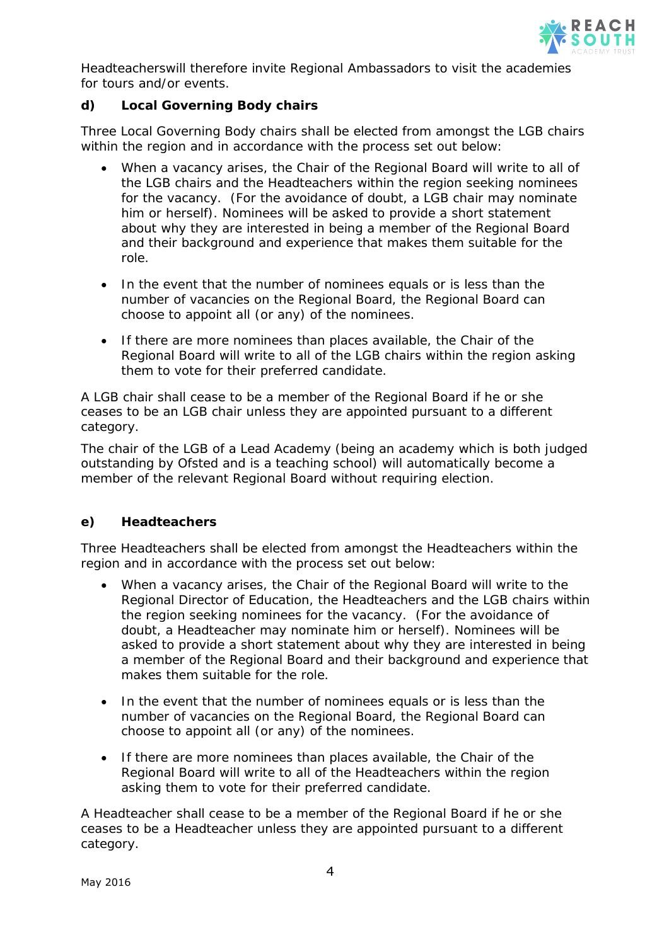

Headteacherswill therefore invite Regional Ambassadors to visit the academies for tours and/or events.

## **d) Local Governing Body chairs**

Three Local Governing Body chairs shall be elected from amongst the LGB chairs within the region and in accordance with the process set out below:

- When a vacancy arises, the Chair of the Regional Board will write to all of the LGB chairs and the Headteachers within the region seeking nominees for the vacancy. (For the avoidance of doubt, a LGB chair may nominate him or herself). Nominees will be asked to provide a short statement about why they are interested in being a member of the Regional Board and their background and experience that makes them suitable for the role.
- In the event that the number of nominees equals or is less than the number of vacancies on the Regional Board, the Regional Board can choose to appoint all (or any) of the nominees.
- If there are more nominees than places available, the Chair of the Regional Board will write to all of the LGB chairs within the region asking them to vote for their preferred candidate.

A LGB chair shall cease to be a member of the Regional Board if he or she ceases to be an LGB chair unless they are appointed pursuant to a different category.

The chair of the LGB of a Lead Academy (being an academy which is both judged outstanding by Ofsted and is a teaching school) will automatically become a member of the relevant Regional Board without requiring election.

#### **e) Headteachers**

Three Headteachers shall be elected from amongst the Headteachers within the region and in accordance with the process set out below:

- When a vacancy arises, the Chair of the Regional Board will write to the Regional Director of Education, the Headteachers and the LGB chairs within the region seeking nominees for the vacancy. (For the avoidance of doubt, a Headteacher may nominate him or herself). Nominees will be asked to provide a short statement about why they are interested in being a member of the Regional Board and their background and experience that makes them suitable for the role.
- In the event that the number of nominees equals or is less than the number of vacancies on the Regional Board, the Regional Board can choose to appoint all (or any) of the nominees.
- If there are more nominees than places available, the Chair of the Regional Board will write to all of the Headteachers within the region asking them to vote for their preferred candidate.

A Headteacher shall cease to be a member of the Regional Board if he or she ceases to be a Headteacher unless they are appointed pursuant to a different category.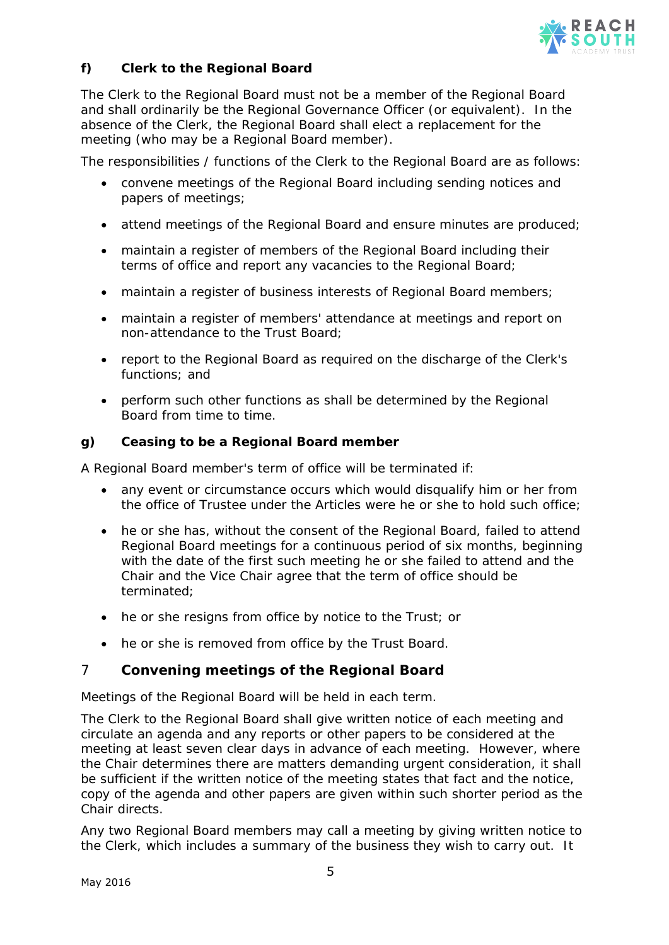

# **f) Clerk to the Regional Board**

The Clerk to the Regional Board must not be a member of the Regional Board and shall ordinarily be the Regional Governance Officer (or equivalent). In the absence of the Clerk, the Regional Board shall elect a replacement for the meeting (who may be a Regional Board member).

The responsibilities / functions of the Clerk to the Regional Board are as follows:

- convene meetings of the Regional Board including sending notices and papers of meetings;
- attend meetings of the Regional Board and ensure minutes are produced;
- maintain a register of members of the Regional Board including their terms of office and report any vacancies to the Regional Board;
- maintain a register of business interests of Regional Board members;
- maintain a register of members' attendance at meetings and report on non-attendance to the Trust Board;
- report to the Regional Board as required on the discharge of the Clerk's functions; and
- perform such other functions as shall be determined by the Regional Board from time to time.

## **g) Ceasing to be a Regional Board member**

A Regional Board member's term of office will be terminated if:

- any event or circumstance occurs which would disqualify him or her from the office of Trustee under the Articles were he or she to hold such office;
- he or she has, without the consent of the Regional Board, failed to attend Regional Board meetings for a continuous period of six months, beginning with the date of the first such meeting he or she failed to attend and the Chair and the Vice Chair agree that the term of office should be terminated;
- he or she resigns from office by notice to the Trust; or
- he or she is removed from office by the Trust Board.

## 7 **Convening meetings of the Regional Board**

Meetings of the Regional Board will be held in each term.

The Clerk to the Regional Board shall give written notice of each meeting and circulate an agenda and any reports or other papers to be considered at the meeting at least seven clear days in advance of each meeting. However, where the Chair determines there are matters demanding urgent consideration, it shall be sufficient if the written notice of the meeting states that fact and the notice, copy of the agenda and other papers are given within such shorter period as the Chair directs.

Any two Regional Board members may call a meeting by giving written notice to the Clerk, which includes a summary of the business they wish to carry out. It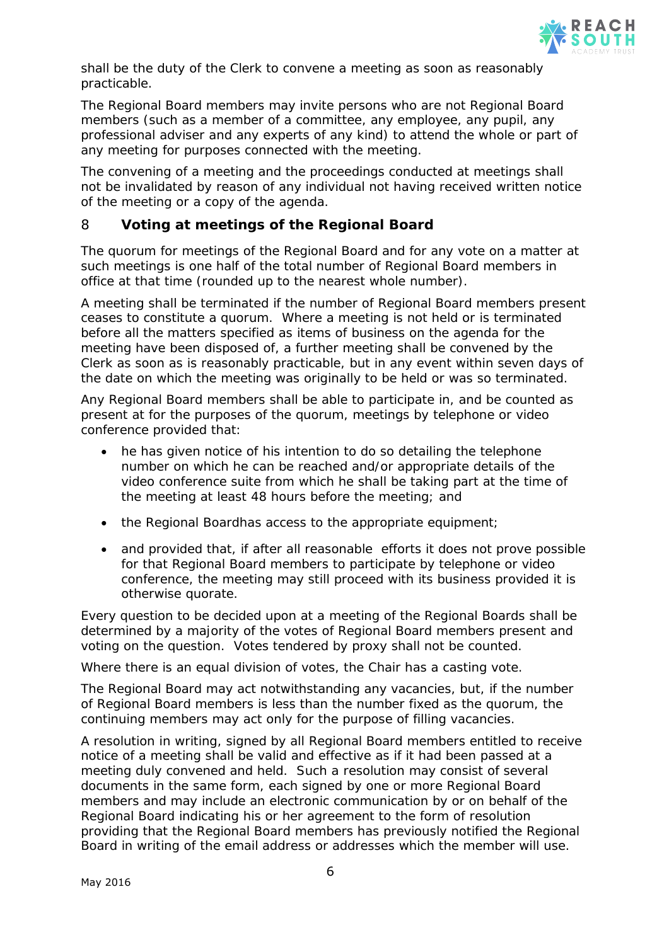

shall be the duty of the Clerk to convene a meeting as soon as reasonably practicable.

The Regional Board members may invite persons who are not Regional Board members (such as a member of a committee, any employee, any pupil, any professional adviser and any experts of any kind) to attend the whole or part of any meeting for purposes connected with the meeting.

The convening of a meeting and the proceedings conducted at meetings shall not be invalidated by reason of any individual not having received written notice of the meeting or a copy of the agenda.

# 8 **Voting at meetings of the Regional Board**

The quorum for meetings of the Regional Board and for any vote on a matter at such meetings is one half of the total number of Regional Board members in office at that time (rounded up to the nearest whole number).

A meeting shall be terminated if the number of Regional Board members present ceases to constitute a quorum. Where a meeting is not held or is terminated before all the matters specified as items of business on the agenda for the meeting have been disposed of, a further meeting shall be convened by the Clerk as soon as is reasonably practicable, but in any event within seven days of the date on which the meeting was originally to be held or was so terminated.

Any Regional Board members shall be able to participate in, and be counted as present at for the purposes of the quorum, meetings by telephone or video conference provided that:

- he has given notice of his intention to do so detailing the telephone number on which he can be reached and/or appropriate details of the video conference suite from which he shall be taking part at the time of the meeting at least 48 hours before the meeting; and
- the Regional Boardhas access to the appropriate equipment;
- and provided that, if after all reasonable efforts it does not prove possible for that Regional Board members to participate by telephone or video conference, the meeting may still proceed with its business provided it is otherwise quorate.

Every question to be decided upon at a meeting of the Regional Boards shall be determined by a majority of the votes of Regional Board members present and voting on the question. Votes tendered by proxy shall not be counted.

Where there is an equal division of votes, the Chair has a casting vote.

The Regional Board may act notwithstanding any vacancies, but, if the number of Regional Board members is less than the number fixed as the quorum, the continuing members may act only for the purpose of filling vacancies.

A resolution in writing, signed by all Regional Board members entitled to receive notice of a meeting shall be valid and effective as if it had been passed at a meeting duly convened and held. Such a resolution may consist of several documents in the same form, each signed by one or more Regional Board members and may include an electronic communication by or on behalf of the Regional Board indicating his or her agreement to the form of resolution providing that the Regional Board members has previously notified the Regional Board in writing of the email address or addresses which the member will use.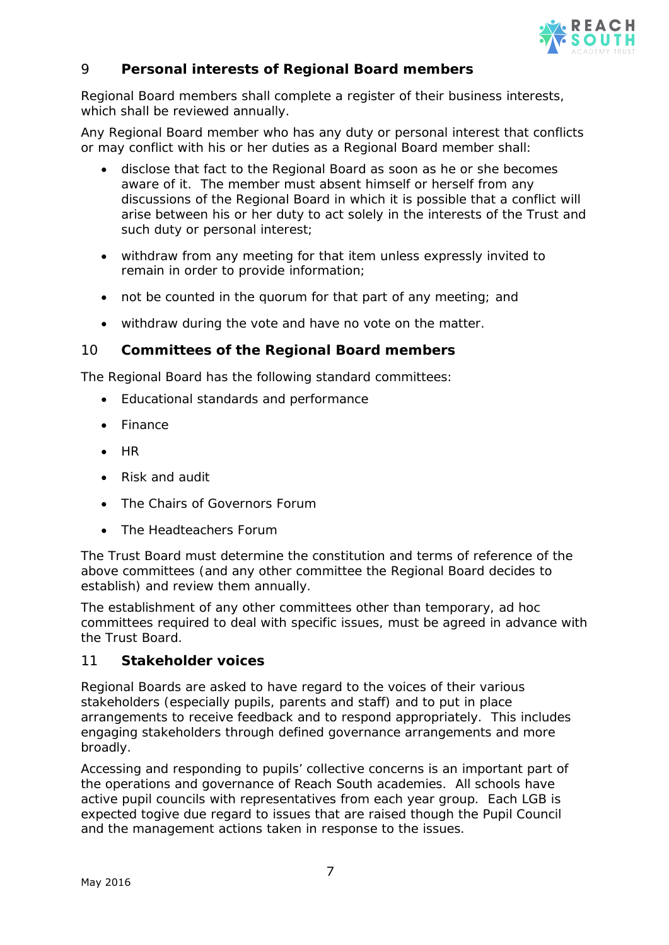

# 9 **Personal interests of Regional Board members**

Regional Board members shall complete a register of their business interests, which shall be reviewed annually.

Any Regional Board member who has any duty or personal interest that conflicts or may conflict with his or her duties as a Regional Board member shall:

- disclose that fact to the Regional Board as soon as he or she becomes aware of it. The member must absent himself or herself from any discussions of the Regional Board in which it is possible that a conflict will arise between his or her duty to act solely in the interests of the Trust and such duty or personal interest;
- withdraw from any meeting for that item unless expressly invited to remain in order to provide information;
- not be counted in the quorum for that part of any meeting; and
- withdraw during the vote and have no vote on the matter.

## 10 **Committees of the Regional Board members**

The Regional Board has the following standard committees:

- Educational standards and performance
- Finance
- HR
- Risk and audit
- The Chairs of Governors Forum
- The Headteachers Forum

The Trust Board must determine the constitution and terms of reference of the above committees (and any other committee the Regional Board decides to establish) and review them annually.

The establishment of any other committees other than temporary, ad hoc committees required to deal with specific issues, must be agreed in advance with the Trust Board.

## 11 **Stakeholder voices**

Regional Boards are asked to have regard to the voices of their various stakeholders (especially pupils, parents and staff) and to put in place arrangements to receive feedback and to respond appropriately. This includes engaging stakeholders through defined governance arrangements and more broadly.

Accessing and responding to pupils' collective concerns is an important part of the operations and governance of Reach South academies. All schools have active pupil councils with representatives from each year group. Each LGB is expected togive due regard to issues that are raised though the Pupil Council and the management actions taken in response to the issues.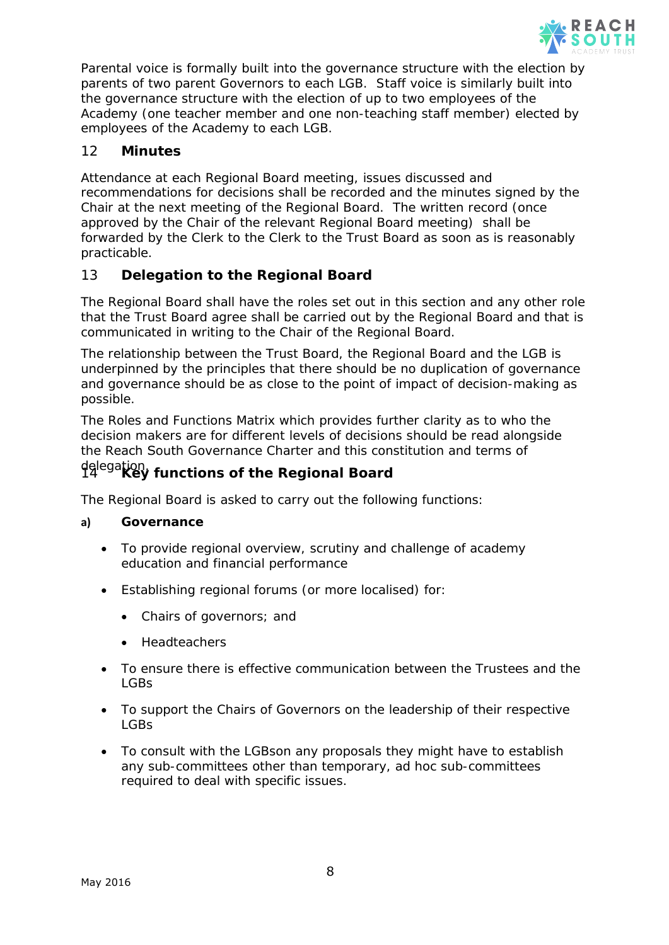

Parental voice is formally built into the governance structure with the election by parents of two parent Governors to each LGB. Staff voice is similarly built into the governance structure with the election of up to two employees of the Academy (one teacher member and one non-teaching staff member) elected by employees of the Academy to each LGB.

# 12 **Minutes**

Attendance at each Regional Board meeting, issues discussed and recommendations for decisions shall be recorded and the minutes signed by the Chair at the next meeting of the Regional Board. The written record (once approved by the Chair of the relevant Regional Board meeting) shall be forwarded by the Clerk to the Clerk to the Trust Board as soon as is reasonably practicable.

# 13 **Delegation to the Regional Board**

The Regional Board shall have the roles set out in this section and any other role that the Trust Board agree shall be carried out by the Regional Board and that is communicated in writing to the Chair of the Regional Board.

The relationship between the Trust Board, the Regional Board and the LGB is underpinned by the principles that there should be no duplication of governance and governance should be as close to the point of impact of decision-making as possible.

The Roles and Functions Matrix which provides further clarity as to who the decision makers are for different levels of decisions should be read alongside the Reach South Governance Charter and this constitution and terms of

# delegation. <sup>14</sup> **Key functions of the Regional Board**

The Regional Board is asked to carry out the following functions:

#### **a) Governance**

- To provide regional overview, scrutiny and challenge of academy education and financial performance
- Establishing regional forums (or more localised) for:
	- Chairs of governors; and
	- Headteachers
- To ensure there is effective communication between the Trustees and the LGBs
- To support the Chairs of Governors on the leadership of their respective LGBs
- To consult with the LGBson any proposals they might have to establish any sub-committees other than temporary, ad hoc sub-committees required to deal with specific issues.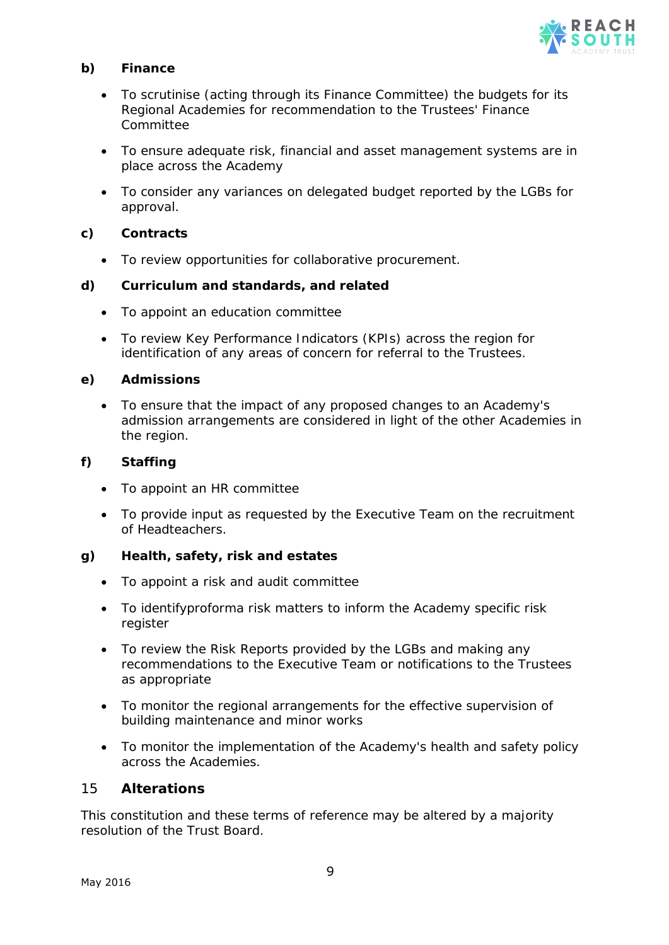

#### **b) Finance**

- To scrutinise (acting through its Finance Committee) the budgets for its Regional Academies for recommendation to the Trustees' Finance Committee
- To ensure adequate risk, financial and asset management systems are in place across the Academy
- To consider any variances on delegated budget reported by the LGBs for approval.

#### **c) Contracts**

• To review opportunities for collaborative procurement.

#### **d) Curriculum and standards, and related**

- To appoint an education committee
- To review Key Performance Indicators (KPIs) across the region for identification of any areas of concern for referral to the Trustees.

## **e) Admissions**

• To ensure that the impact of any proposed changes to an Academy's admission arrangements are considered in light of the other Academies in the region.

## **f) Staffing**

- To appoint an HR committee
- To provide input as requested by the Executive Team on the recruitment of Headteachers.

#### **g) Health, safety, risk and estates**

- To appoint a risk and audit committee
- To identifyproforma risk matters to inform the Academy specific risk register
- To review the Risk Reports provided by the LGBs and making any recommendations to the Executive Team or notifications to the Trustees as appropriate
- To monitor the regional arrangements for the effective supervision of building maintenance and minor works
- To monitor the implementation of the Academy's health and safety policy across the Academies.

## 15 **Alterations**

This constitution and these terms of reference may be altered by a majority resolution of the Trust Board.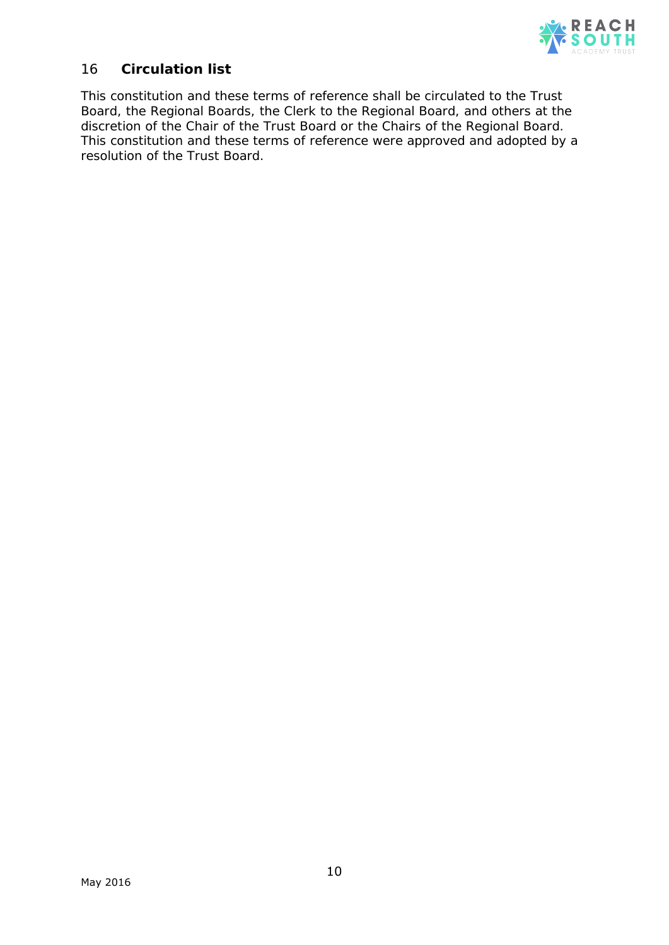

# 16 **Circulation list**

This constitution and these terms of reference shall be circulated to the Trust Board, the Regional Boards, the Clerk to the Regional Board, and others at the discretion of the Chair of the Trust Board or the Chairs of the Regional Board. This constitution and these terms of reference were approved and adopted by a resolution of the Trust Board.